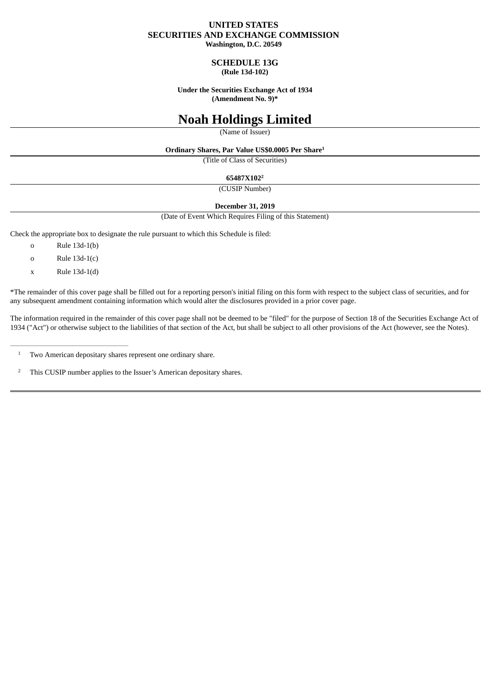# **UNITED STATES SECURITIES AND EXCHANGE COMMISSION**

**Washington, D.C. 20549**

# **SCHEDULE 13G (Rule 13d-102)**

**Under the Securities Exchange Act of 1934 (Amendment No. 9)\***

# **Noah Holdings Limited**

(Name of Issuer)

#### **Ordinary Shares, Par Value US\$0.0005 Per Share 1**

(Title of Class of Securities)

#### **65487X102 2**

(CUSIP Number)

# **December 31, 2019**

(Date of Event Which Requires Filing of this Statement)

Check the appropriate box to designate the rule pursuant to which this Schedule is filed:

- o Rule 13d-1(b)
- o Rule 13d-1(c)
- $x$  Rule 13d-1(d)

\*The remainder of this cover page shall be filled out for a reporting person's initial filing on this form with respect to the subject class of securities, and for any subsequent amendment containing information which would alter the disclosures provided in a prior cover page.

The information required in the remainder of this cover page shall not be deemed to be "filed" for the purpose of Section 18 of the Securities Exchange Act of 1934 ("Act") or otherwise subject to the liabilities of that section of the Act, but shall be subject to all other provisions of the Act (however, see the Notes).

This CUSIP number applies to the Issuer's American depositary shares. 2

Two American depositary shares represent one ordinary share. 1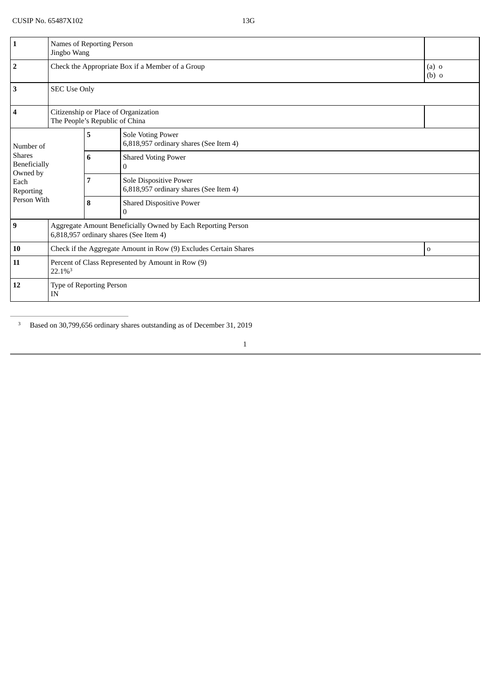| $\mathbf{1}$                              | Names of Reporting Person<br>Jingbo Wang                                                               |   |                                                                  |                    |  |
|-------------------------------------------|--------------------------------------------------------------------------------------------------------|---|------------------------------------------------------------------|--------------------|--|
| $\mathbf 2$                               | Check the Appropriate Box if a Member of a Group                                                       |   |                                                                  | $(a)$ o<br>$(b)$ o |  |
| 3                                         | <b>SEC Use Only</b>                                                                                    |   |                                                                  |                    |  |
| 4                                         | Citizenship or Place of Organization<br>The People's Republic of China                                 |   |                                                                  |                    |  |
| Number of                                 |                                                                                                        | 5 | Sole Voting Power<br>6,818,957 ordinary shares (See Item 4)      |                    |  |
| <b>Shares</b><br>Beneficially<br>Owned by |                                                                                                        | 6 | <b>Shared Voting Power</b><br>0                                  |                    |  |
| Each<br>Reporting                         |                                                                                                        | 7 | Sole Dispositive Power<br>6,818,957 ordinary shares (See Item 4) |                    |  |
| Person With                               |                                                                                                        | 8 | <b>Shared Dispositive Power</b><br>$\mathbf{0}$                  |                    |  |
| <b>9</b>                                  | Aggregate Amount Beneficially Owned by Each Reporting Person<br>6,818,957 ordinary shares (See Item 4) |   |                                                                  |                    |  |
| 10                                        | Check if the Aggregate Amount in Row (9) Excludes Certain Shares<br>0                                  |   |                                                                  |                    |  |
| 11                                        | Percent of Class Represented by Amount in Row (9)<br>22.1%3                                            |   |                                                                  |                    |  |
| 12                                        | Type of Reporting Person<br>IN                                                                         |   |                                                                  |                    |  |

<sup>3</sup> Based on 30,799,656 ordinary shares outstanding as of December 31, 2019

1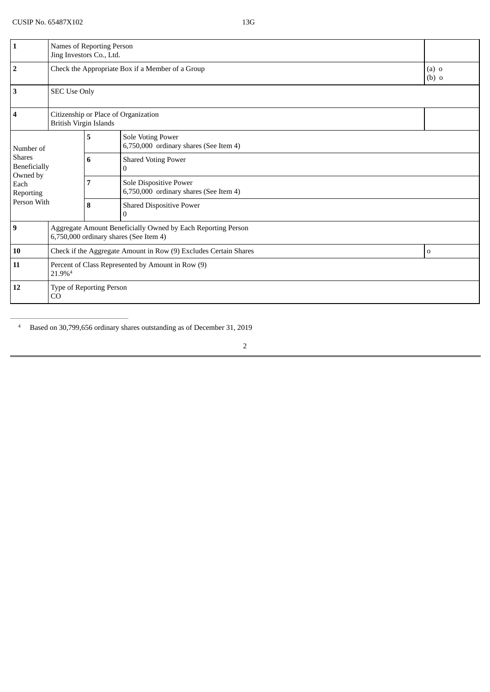| $\mathbf{1}$                              | Names of Reporting Person<br>Jing Investors Co., Ltd.                                                  |   |                                                                  |                    |  |
|-------------------------------------------|--------------------------------------------------------------------------------------------------------|---|------------------------------------------------------------------|--------------------|--|
| $\overline{2}$                            | Check the Appropriate Box if a Member of a Group                                                       |   |                                                                  | $(a)$ o<br>$(b)$ o |  |
| $\mathbf{3}$                              | <b>SEC Use Only</b>                                                                                    |   |                                                                  |                    |  |
| $\overline{\mathbf{4}}$                   | Citizenship or Place of Organization<br><b>British Virgin Islands</b>                                  |   |                                                                  |                    |  |
| Number of                                 |                                                                                                        | 5 | Sole Voting Power<br>6,750,000 ordinary shares (See Item 4)      |                    |  |
| <b>Shares</b><br>Beneficially<br>Owned by |                                                                                                        | 6 | <b>Shared Voting Power</b><br>$\theta$                           |                    |  |
| Each<br>Reporting                         |                                                                                                        | 7 | Sole Dispositive Power<br>6,750,000 ordinary shares (See Item 4) |                    |  |
| Person With                               |                                                                                                        | 8 | <b>Shared Dispositive Power</b><br>$\boldsymbol{0}$              |                    |  |
| $\boldsymbol{9}$                          | Aggregate Amount Beneficially Owned by Each Reporting Person<br>6,750,000 ordinary shares (See Item 4) |   |                                                                  |                    |  |
| 10                                        | Check if the Aggregate Amount in Row (9) Excludes Certain Shares<br>0                                  |   |                                                                  |                    |  |
| 11                                        | Percent of Class Represented by Amount in Row (9)<br>21.9% <sup>4</sup>                                |   |                                                                  |                    |  |
| 12                                        | Type of Reporting Person<br>CO                                                                         |   |                                                                  |                    |  |

<sup>4</sup> Based on 30,799,656 ordinary shares outstanding as of December 31, 2019

2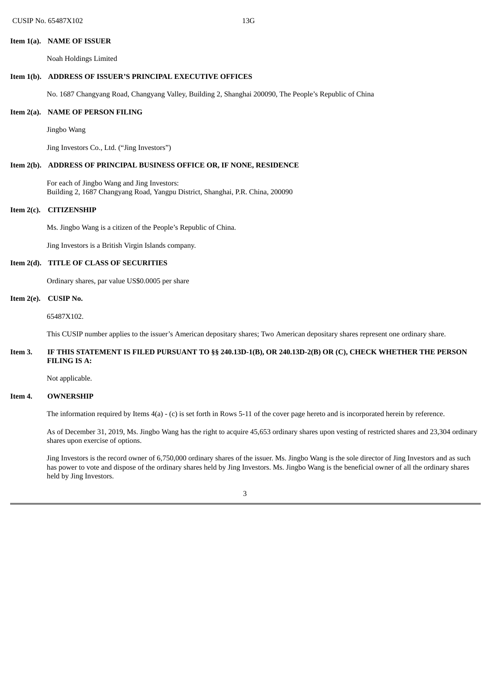#### **Item 1(a). NAME OF ISSUER**

Noah Holdings Limited

# **Item 1(b). ADDRESS OF ISSUER'S PRINCIPAL EXECUTIVE OFFICES**

No. 1687 Changyang Road, Changyang Valley, Building 2, Shanghai 200090, The People's Republic of China

# **Item 2(a). NAME OF PERSON FILING**

Jingbo Wang

Jing Investors Co., Ltd. ("Jing Investors")

## **Item 2(b). ADDRESS OF PRINCIPAL BUSINESS OFFICE OR, IF NONE, RESIDENCE**

For each of Jingbo Wang and Jing Investors: Building 2, 1687 Changyang Road, Yangpu District, Shanghai, P.R. China, 200090

#### **Item 2(c). CITIZENSHIP**

Ms. Jingbo Wang is a citizen of the People's Republic of China.

Jing Investors is a British Virgin Islands company.

# **Item 2(d). TITLE OF CLASS OF SECURITIES**

Ordinary shares, par value US\$0.0005 per share

#### **Item 2(e). CUSIP No.**

65487X102.

This CUSIP number applies to the issuer's American depositary shares; Two American depositary shares represent one ordinary share.

# Item 3. IF THIS STATEMENT IS FILED PURSUANT TO §§ 240.13D-1(B), OR 240.13D-2(B) OR (C), CHECK WHETHER THE PERSON **FILING IS A:**

Not applicable.

#### **Item 4. OWNERSHIP**

The information required by Items 4(a) - (c) is set forth in Rows 5-11 of the cover page hereto and is incorporated herein by reference.

As of December 31, 2019, Ms. Jingbo Wang has the right to acquire 45,653 ordinary shares upon vesting of restricted shares and 23,304 ordinary shares upon exercise of options.

Jing Investors is the record owner of 6,750,000 ordinary shares of the issuer. Ms. Jingbo Wang is the sole director of Jing Investors and as such has power to vote and dispose of the ordinary shares held by Jing Investors. Ms. Jingbo Wang is the beneficial owner of all the ordinary shares held by Jing Investors.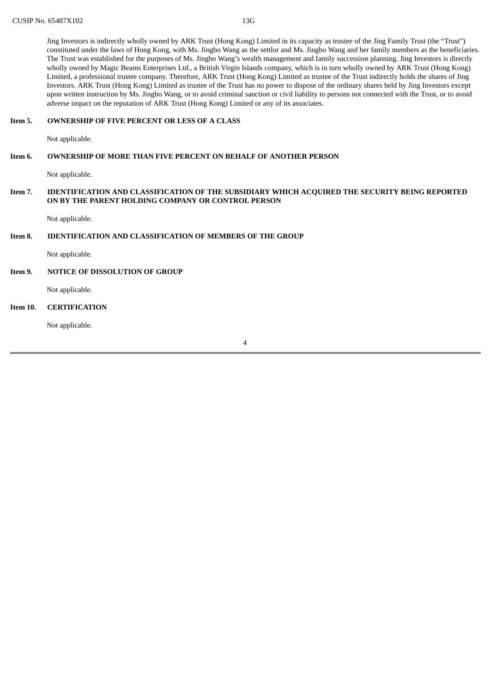Jing Investors is indirectly wholly owned by ARK Trust (Hong Kong) Limited in its capacity as trustee of the Jing Family Trust (the "Trust") constituted under the laws of Hong Kong, with Ms. Jingbo Wang as the settlor and Ms. Jingbo Wang and her family members as the beneficiaries. The Trust was established for the purposes of Ms. Jingbo Wang's wealth management and family succession planning. Jing Investors is directly wholly owned by Magic Beams Enterprises Ltd., a British Virgin Islands company, which is in turn wholly owned by ARK Trust (Hong Kong) Limited, a professional trustee company. Therefore, ARK Trust (Hong Kong) Limited as trustee of the Trust indirectly holds the shares of Jing Investors. ARK Trust (Hong Kong) Limited as trustee of the Trust has no power to dispose of the ordinary shares held by Jing Investors except upon written instruction by Ms. Jingbo Wang, or to avoid criminal sanction or civil liability to persons not connected with the Trust, or to avoid adverse impact on the reputation of ARK Trust (Hong Kong) Limited or any of its associates.

# **Item 5. OWNERSHIP OF FIVE PERCENT OR LESS OF A CLASS**

Not applicable.

# **Item 6. OWNERSHIP OF MORE THAN FIVE PERCENT ON BEHALF OF ANOTHER PERSON**

Not applicable.

## **Item 7. IDENTIFICATION AND CLASSIFICATION OF THE SUBSIDIARY WHICH ACQUIRED THE SECURITY BEING REPORTED ON BY THE PARENT HOLDING COMPANY OR CONTROL PERSON**

Not applicable.

## **Item 8. IDENTIFICATION AND CLASSIFICATION OF MEMBERS OF THE GROUP**

Not applicable.

## **Item 9. NOTICE OF DISSOLUTION OF GROUP**

Not applicable.

# **Item 10. CERTIFICATION**

Not applicable.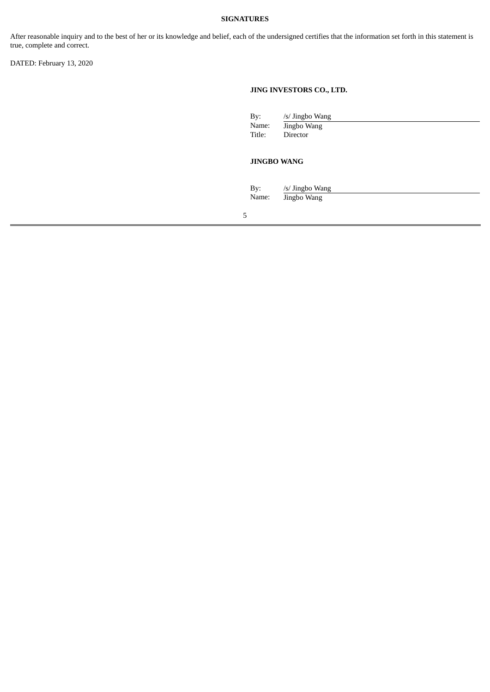# **SIGNATURES**

After reasonable inquiry and to the best of her or its knowledge and belief, each of the undersigned certifies that the information set forth in this statement is true, complete and correct.

DATED: February 13, 2020

# **JING INVESTORS CO., LTD.**

| By:    | /s/ Jingbo Wang |
|--------|-----------------|
| Name:  | Jingbo Wang     |
| Title: | Director        |

# **JINGBO WANG**

| By:<br>Name: | /s/ Jingbo Wang |  |  |  |  |  |
|--------------|-----------------|--|--|--|--|--|
|              | Jingbo Wang     |  |  |  |  |  |

5